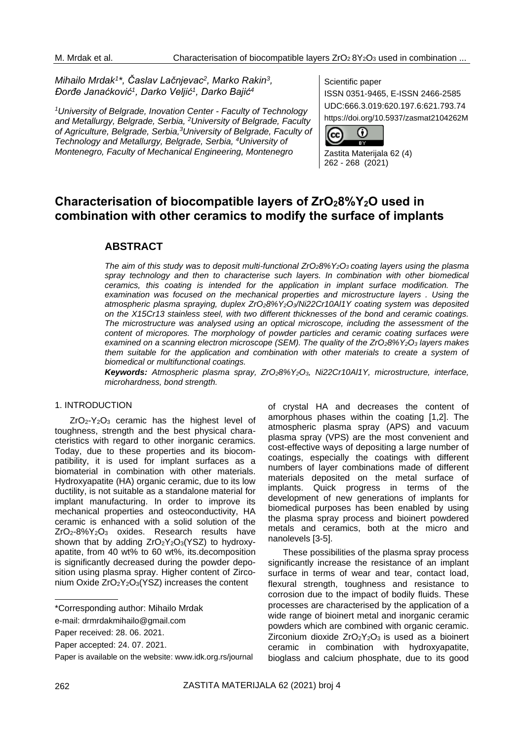*Mihailo Mrdak<sup>1</sup> \*, Časlav Lačnjevac<sup>2</sup> , Marko Rakin<sup>3</sup> , Đorđe Janaćković<sup>1</sup> , Darko Veljić<sup>1</sup> , Darko Bajić<sup>4</sup>*

*<sup>1</sup>University of Belgrade, Inovation Center - Faculty of Technology and Metallurgy, Belgrade, Serbia, <sup>2</sup>University of Belgrade, Faculty of Agriculture, Belgrade, Serbia,<sup>3</sup>University of Belgrade, Faculty of Technology and Metallurgy, Belgrade, Serbia, <sup>4</sup>University of Montenegro, Faculty of Mechanical Engineering, Montenegro*

Scientific paper

ISSN 0351-9465, E-ISSN 2466-2585 UDC:666.3.019:620.197.6:621.793.74 https://doi.org/10.5937/zasmat2104262M



Zastita Materijala 62 (4) 262 - 268 (2021)

# **Characterisation of biocompatible layers of ZrO28%Y2O used in combination with other ceramics to modify the surface of implants**

# **ABSTRACT**

*The aim of this study was to deposit multi-functional ZrO28%Y2O3 coating layers using the plasma*  spray technology and then to characterise such layers. In combination with other biomedical *ceramics, this coating is intended for the application in implant surface modification. The examination was focused on the mechanical properties and microstructure layers . Using the atmospheric plasma spraying, duplex ZrO28%Y2O3/Ni22Cr10Al1Y coating system was deposited on the X15Cr13 stainless steel, with two different thicknesses of the bond and ceramic coatings. The microstructure was analysed using an optical microscope, including the assessment of the content of micropores. The morphology of powder particles and ceramic coating surfaces were examined on a scanning electron microscope (SEM). The quality of the ZrO28%Y2O<sup>3</sup> layers makes them suitable for the application and combination with other materials to create a system of biomedical or multifunctional coatings.* 

*Keywords: Atmospheric plasma spray, ZrO28%Y2O3, Ni22Cr10Al1Y, microstructure, interface, microhardness, bond strength.*

### 1. INTRODUCTION

ZrO2-Y2O<sup>3</sup> ceramic has the highest level of toughness, strength and the best physical characteristics with regard to other inorganic ceramics. Today, due to these properties and its biocompatibility, it is used for implant surfaces as a biomaterial in combination with other materials. Hydroxyapatite (HA) organic ceramic, due to its low ductility, is not suitable as a standalone material for implant manufacturing. In order to improve its mechanical properties and osteoconductivity, HA ceramic is enhanced with a solid solution of the ZrO2-8%Y2O<sup>3</sup> oxides. Research results have shown that by adding ZrO<sub>2</sub>Y<sub>2</sub>O<sub>3</sub>(YSZ) to hydroxyapatite, from 40 wt% to 60 wt%, its.decomposition is significantly decreased during the powder deposition using plasma spray. Higher content of Zirconium Oxide ZrO2Y2O3(YSZ) increases the content

of crystal HA and decreases the content of amorphous phases within the coating [1,2]. The atmospheric plasma spray (APS) and vacuum plasma spray (VPS) are the most convenient and cost-effective ways of depositing a large number of coatings, especially the coatings with different numbers of layer combinations made of different materials deposited on the metal surface of implants. Quick progress in terms of the development of new generations of implants for biomedical purposes has been enabled by using the plasma spray process and bioinert powdered metals and ceramics, both at the micro and nanolevels [3-5].

These possibilities of the plasma spray process significantly increase the resistance of an implant surface in terms of wear and tear, contact load, flexural strength, toughness and resistance to corrosion due to the impact of bodily fluids. These processes are characterised by the application of a wide range of bioinert metal and inorganic ceramic powders which are combined with organic ceramic. Zirconium dioxide  $ZrO<sub>2</sub>Y<sub>2</sub>O<sub>3</sub>$  is used as a bioinert ceramic in combination with hydroxyapatite, bioglass and calcium phosphate, due to its good

<sup>\*</sup>Corresponding author: Mihailo Mrdak

e-mail: [drmrdakmihailo@gmail.com](mailto:drmrdakmihailo@gmail.com)

Paper received: 28. 06. 2021.

Paper accepted: 24. 07. 2021.

Paper is available on the website: www.idk.org.rs/journal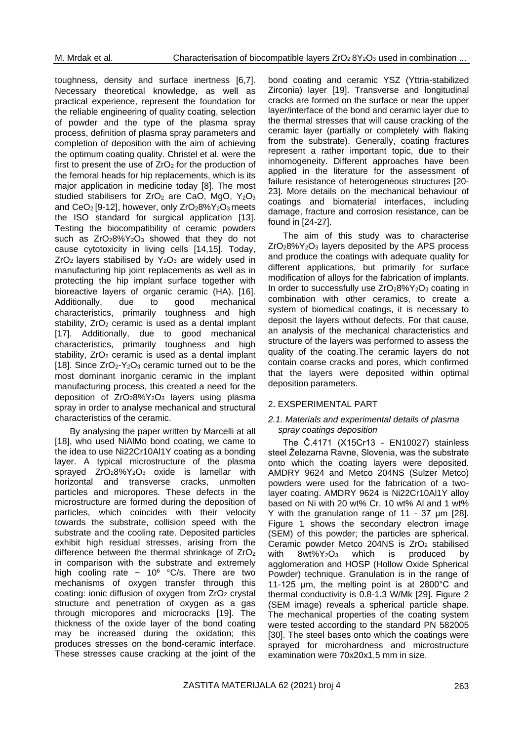toughness, density and surface inertness [6,7]. Necessary theoretical knowledge, as well as practical experience, represent the foundation for the reliable engineering of quality coating, selection of powder and the type of the plasma spray process, definition of plasma spray parameters and completion of deposition with the aim of achieving the optimum coating quality. Christel et al. were the first to present the use of  $ZrO<sub>2</sub>$  for the production of the femoral heads for hip replacements, which is its major application in medicine today [8]. The most studied stabilisers for  $ZrO<sub>2</sub>$  are CaO, MgO, Y<sub>2</sub>O<sub>3</sub> and  $CeO<sub>2</sub>$  [9-12], however, only  $ZrO<sub>2</sub>8\%Y<sub>2</sub>O<sub>3</sub>$  meets the ISO standard for surgical application [13]. Testing the biocompatibility of ceramic powders such as ZrO<sub>2</sub>8%Y<sub>2</sub>O<sub>3</sub> showed that they do not cause cytotoxicity in living cells [14,15]. Today,  $ZrO<sub>2</sub>$  layers stabilised by  $Y<sub>2</sub>O<sub>3</sub>$  are widely used in manufacturing hip joint replacements as well as in protecting the hip implant surface together with bioreactive layers of organic ceramic (HA). [16]. Additionally, due to good mechanical characteristics, primarily toughness and high stability,  $ZrO<sub>2</sub>$  ceramic is used as a dental implant [17]. Additionally, due to good mechanical characteristics, primarily toughness and high stability, ZrO<sub>2</sub> ceramic is used as a dental implant [18]. Since  $ZrO<sub>2</sub>-Y<sub>2</sub>O<sub>3</sub>$  ceramic turned out to be the most dominant inorganic ceramic in the implant manufacturing process, this created a need for the deposition of  $ZrO<sub>2</sub>8\%Y<sub>2</sub>O<sub>3</sub>$  layers using plasma spray in order to analyse mechanical and structural characteristics of the ceramic.

By analysing the paper written by Marcelli at all [18], who used NiAlMo bond coating, we came to the idea to use Ni22Cr10Al1Y coating as a bonding layer. A typical microstructure of the plasma sprayed  $ZrO_28\%Y_2O_3$  oxide is lamellar with horizontal and transverse cracks, unmolten particles and micropores. These defects in the microstructure are formed during the deposition of particles, which coincides with their velocity towards the substrate, collision speed with the substrate and the cooling rate. Deposited particles exhibit high residual stresses, arising from the difference between the thermal shrinkage of  $ZrO<sub>2</sub>$ in comparison with the substrate and extremely high cooling rate  $\sim 10^6$  °C/s. There are two mechanisms of oxygen transfer through this coating: ionic diffusion of oxygen from  $ZrO<sub>2</sub>$  crystal structure and penetration of oxygen as a gas through micropores and microcracks [19]. The thickness of the oxide layer of the bond coating may be increased during the oxidation; this produces stresses on the bond-ceramic interface. These stresses cause cracking at the joint of the

bond coating and ceramic YSZ (Yttria-stabilized Zirconia) layer [19]. Transverse and longitudinal cracks are formed on the surface or near the upper layer/interface of the bond and ceramic layer due to the thermal stresses that will cause cracking of the ceramic layer (partially or completely with flaking from the substrate). Generally, coating fractures represent a rather important topic, due to their inhomogeneity. Different approaches have been applied in the literature for the assessment of failure resistance of heterogeneous structures [20- 23]. More details on the mechanical behaviour of coatings and biomaterial interfaces, including damage, fracture and corrosion resistance, can be found in [24-27].

The aim of this study was to characterise  $ZrO<sub>2</sub>8\%Y<sub>2</sub>O<sub>3</sub>$  layers deposited by the APS process and produce the coatings with adequate quality for different applications, but primarily for surface modification of alloys for the fabrication of implants. In order to successfully use  $ZrO<sub>2</sub>8\%Y<sub>2</sub>O<sub>3</sub>$  coating in combination with other ceramics, to create a system of biomedical coatings, it is necessary to deposit the layers without defects. For that cause, an analysis of the mechanical characteristics and structure of the layers was performed to assess the quality of the coating.The ceramic layers do not contain coarse cracks and pores, which confirmed that the layers were deposited within optimal deposition parameters.

### 2. EXSPERIMENTAL PART

#### *2.1. Materials and experimental details of plasma spray coatings deposition*

The Č.4171 (X15Cr13 - EN10027) stainless steel Železarna Ravne, Slovenia, was the substrate onto which the coating layers were deposited. AMDRY 9624 and Metco 204NS (Sulzer Metco) powders were used for the fabrication of a twolayer coating. AMDRY 9624 is Ni22Cr10Al1Y alloy based on Ni with 20 wt% Cr, 10 wt% Al and 1 wt% Y with the granulation range of 11 - 37 μm [28]. Figure 1 shows the secondary electron image (SEM) of this powder; the particles are spherical. Ceramic powder Metco 204NS is ZrO<sub>2</sub> stabilised with  $8wt\%$  $Y_2O_3$  which is produced by agglomeration and HOSP (Hollow Oxide Spherical Powder) technique. Granulation is in the range of 11-125 μm, the melting point is at 2800°C and thermal conductivity is 0.8-1.3 W/Mk [29]. Figure 2 (SEM image) reveals a spherical particle shape. The mechanical properties of the coating system were tested according to the standard PN 582005 [30]. The steel bases onto which the coatings were sprayed for microhardness and microstructure examination were 70x20x1.5 mm in size.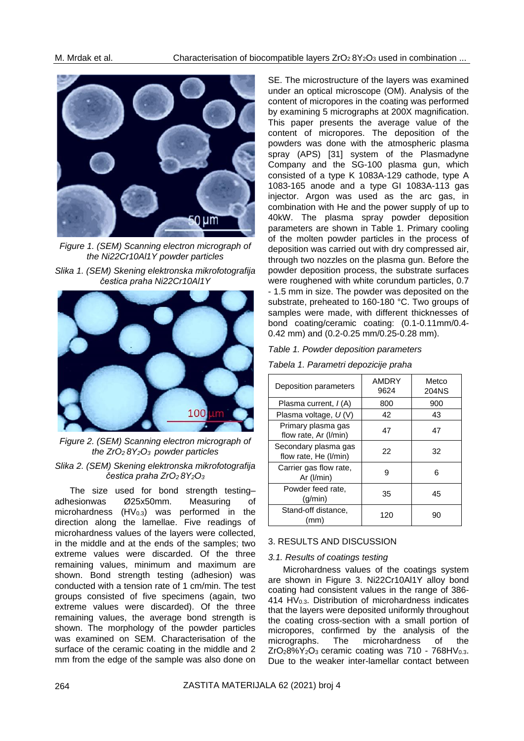

*Figure 1. (SEM) Scanning electron micrograph of the Ni22Cr10Al1Y powder particles*





*Figure 2. (SEM) Scanning electron micrograph of the ZrO2 8Y2O3 powder particles*

## *Slika 2. (SEM) Skening elektronska mikrofotografija čestica praha ZrO2 8Y2O<sup>3</sup>*

The size used for bond strength testingadhesionwas Ø25x50mm. Measuring of microhardness  $(HV<sub>0.3</sub>)$  was performed in the direction along the lamellae. Five readings of microhardness values of the layers were collected, in the middle and at the ends of the samples; two extreme values were discarded. Of the three remaining values, minimum and maximum are shown. Bond strength testing (adhesion) was conducted with a tension rate of 1 cm/min. The test groups consisted of five specimens (again, two extreme values were discarded). Of the three remaining values, the average bond strength is shown. The morphology of the powder particles was examined on SEM. Characterisation of the surface of the ceramic coating in the middle and 2 mm from the edge of the sample was also done on SE. The microstructure of the layers was examined under an optical microscope (OM). Analysis of the content of micropores in the coating was performed by examining 5 micrographs at 200X magnification. This paper presents the average value of the content of micropores. The deposition of the powders was done with the atmospheric plasma spray (APS) [31] system of the Plasmadyne Company and the SG-100 plasma gun, which consisted of a type K 1083A-129 cathode, type A 1083-165 anode and a type GI 1083A-113 gas injector. Argon was used as the arc gas, in combination with He and the power supply of up to 40kW. The plasma spray powder deposition parameters are shown in Table 1. Primary cooling of the molten powder particles in the process of deposition was carried out with dry compressed air, through two nozzles on the plasma gun. Before the powder deposition process, the substrate surfaces were roughened with white corundum particles, 0.7 - 1.5 mm in size. The powder was deposited on the substrate, preheated to 160-180 °C. Two groups of samples were made, with different thicknesses of bond coating/ceramic coating: (0.1-0.11mm/0.4- 0.42 mm) and (0.2-0.25 mm/0.25-0.28 mm).

# *Table 1. Powder deposition parameters*

*Tabela 1. Parametri depozicije praha*

| Deposition parameters                         | AMDRY<br>9624 | Metco<br>204NS |
|-----------------------------------------------|---------------|----------------|
| Plasma current, $I(A)$                        | 800           | 900            |
| Plasma voltage, $U(V)$                        | 42            | 43             |
| Primary plasma gas<br>flow rate, Ar (I/min)   | 47            | 47             |
| Secondary plasma gas<br>flow rate, He (I/min) | 22            | 32             |
| Carrier gas flow rate,<br>Ar $(l/min)$        | 9             | 6              |
| Powder feed rate,<br>(q/min)                  | 35            | 45             |
| Stand-off distance,<br>(mm)                   | 120           | 90             |

# 3. RESULTS AND DISCUSSION

# *3.1. Results of coatings testing*

Microhardness values of the coatings system are shown in Figure 3. Ni22Cr10Al1Y alloy bond coating had consistent values in the range of 386- 414 HV0.3. Distribution of microhardness indicates that the layers were deposited uniformly throughout the coating cross-section with a small portion of micropores, confirmed by the analysis of the micrographs. The microhardness of the  $ZrO_28\%Y_2O_3$  ceramic coating was 710 - 768HV<sub>0.3</sub>. Due to the weaker inter-lamellar contact between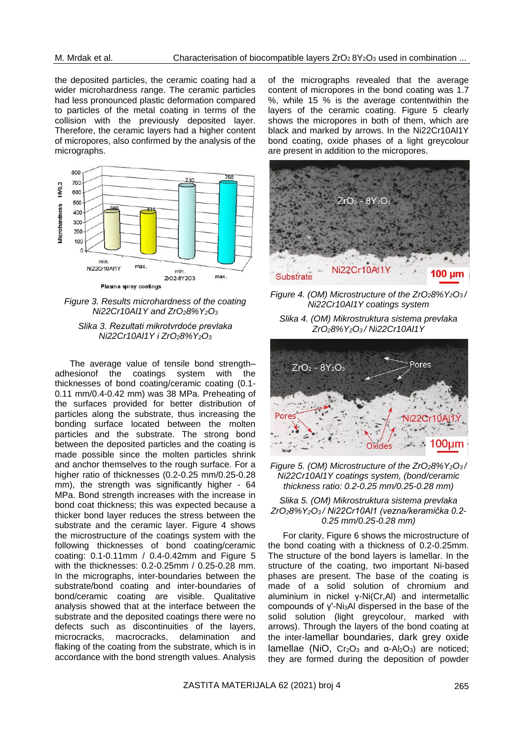the deposited particles, the ceramic coating had a wider microhardness range. The ceramic particles had less pronounced plastic deformation compared to particles of the metal coating in terms of the collision with the previously deposited layer. Therefore, the ceramic layers had a higher content of micropores, also confirmed by the analysis of the micrographs.



*Figure 3. Results microhardness of the coating Ni22Cr10Al1Y and ZrO28%Y2O<sup>3</sup>*

### *Slika 3. Rezultati mikrotvrdoće prevlaka Ni22Cr10Al1Y i ZrO28%Y2O<sup>3</sup>*

The average value of tensile bond strength– adhesionof the coatings system with the thicknesses of bond coating/ceramic coating (0.1- 0.11 mm/0.4-0.42 mm) was 38 MPa. Preheating of the surfaces provided for better distribution of particles along the substrate, thus increasing the bonding surface located between the molten particles and the substrate. The strong bond between the deposited particles and the coating is made possible since the molten particles shrink and anchor themselves to the rough surface. For a higher ratio of thicknesses (0.2-0.25 mm/0.25-0.28 mm), the strength was significantly higher - 64 MPa. Bond strength increases with the increase in bond coat thickness; this was expected because a thicker bond layer reduces the stress between the substrate and the ceramic layer. Figure 4 shows the microstructure of the coatings system with the following thicknesses of bond coating/ceramic coating: 0.1-0.11mm / 0.4-0.42mm and Figure 5 with the thicknesses: 0.2-0.25mm / 0.25-0.28 mm. In the micrographs, inter-boundaries between the substrate/bond coating and inter-boundaries of bond/ceramic coating are visible. Qualitative analysis showed that at the interface between the substrate and the deposited coatings there were no defects such as discontinuities of the layers, microcracks, macrocracks, delamination and flaking of the coating from the substrate, which is in accordance with the bond strength values. Analysis

of the micrographs revealed that the average content of micropores in the bond coating was 1.7 %, while 15 % is the average contentwithin the layers of the ceramic coating. Figure 5 clearly shows the micropores in both of them, which are black and marked by arrows. In the Ni22Cr10Al1Y bond coating, oxide phases of a light greycolour are present in addition to the micropores.



*Figure 4. (OM) Microstructure of the ZrO28%Y2O3 / Ni22Cr10Al1Y coatings system*

*Slika 4. (OM) Mikrostruktura sistema prevlaka ZrO28%Y2O3 / Ni22Cr10Al1Y*



*Figure 5. (OM) Microstructure of the ZrO28%Y2O3 / Ni22Cr10Al1Y coatings system, (bond/ceramic thickness ratio: 0.2-0.25 mm/0.25-0.28 mm)*

#### *Slika 5. (OM) Mikrostruktura sistema prevlaka ZrO28%Y2O3 / Ni22Cr10Al1 (vezna/keramička 0.2- 0.25 mm/0.25-0.28 mm)*

For clarity, Figure 6 shows the microstructure of the bond coating with a thickness of 0.2-0.25mm. The structure of the bond layers is lamellar. In the structure of the coating, two important Ni-based phases are present. The base of the coating is made of a solid solution of chromium and aluminium in nickel γ-Ni(Cr,Al) and intermetallic compounds of γ'-Ni3Al dispersed in the base of the solid solution (light greycolour, marked with arrows). Through the layers of the bond coating at the inter-lamellar boundaries, dark grey oxide lamellae (NiO, Cr<sub>2</sub>O<sub>3</sub> and α-Al<sub>2</sub>O<sub>3</sub>) are noticed; they are formed during the deposition of powder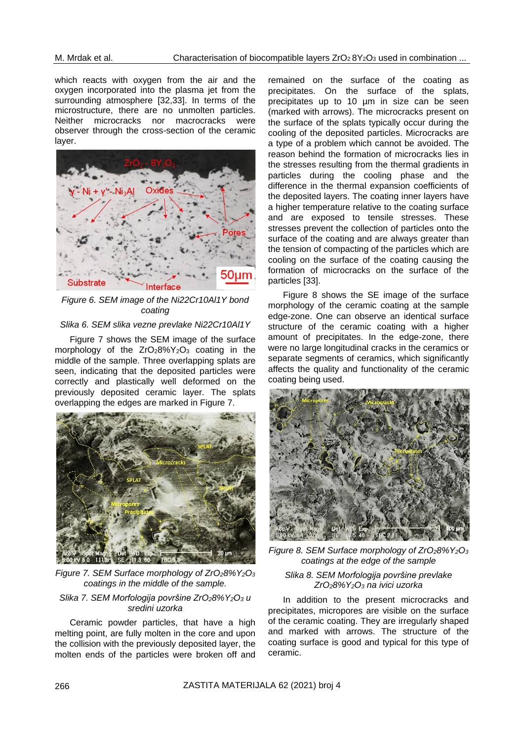which reacts with oxygen from the air and the oxygen incorporated into the plasma jet from the surrounding atmosphere [32,33]. In terms of the microstructure, there are no unmolten particles. Neither microcracks nor macrocracks were observer through the cross-section of the ceramic layer.



*Figure 6. SEM image of the Ni22Cr10Al1Y bond coating*

### *Slika 6. SEM slika vezne prevlake Ni22Cr10Al1Y*

Figure 7 shows the SEM image of the surface morphology of the  $ZrO<sub>2</sub>8\%Y<sub>2</sub>O<sub>3</sub>$  coating in the middle of the sample. Three overlapping splats are seen, indicating that the deposited particles were correctly and plastically well deformed on the previously deposited ceramic layer. The splats overlapping the edges are marked in Figure 7.



*Figure 7. SEM Surface morphology of ZrO28%Y2O<sup>3</sup> coatings in the middle of the sample.*

#### *Slika 7. SEM Morfologija površine ZrO28%Y2O<sup>3</sup> u sredini uzorka*

Ceramic powder particles, that have a high melting point, are fully molten in the core and upon the collision with the previously deposited layer, the molten ends of the particles were broken off and remained on the surface of the coating as precipitates. On the surface of the splats, precipitates up to 10 µm in size can be seen (marked with arrows). The microcracks present on the surface of the splats typically occur during the cooling of the deposited particles. Microcracks are a type of a problem which cannot be avoided. The reason behind the formation of microcracks lies in the stresses resulting from the thermal gradients in particles during the cooling phase and the difference in the thermal expansion coefficients of the deposited layers. The coating inner layers have a higher temperature relative to the coating surface and are exposed to tensile stresses. These stresses prevent the collection of particles onto the surface of the coating and are always greater than the tension of compacting of the particles which are cooling on the surface of the coating causing the formation of microcracks on the surface of the particles [33].

Figure 8 shows the SE image of the surface morphology of the ceramic coating at the sample edge-zone. One can observe an identical surface structure of the ceramic coating with a higher amount of precipitates. In the edge-zone, there were no large longitudinal cracks in the ceramics or separate segments of ceramics, which significantly affects the quality and functionality of the ceramic coating being used.



*Figure 8. SEM Surface morphology of ZrO28%Y2O<sup>3</sup> coatings at the edge of the sample*

#### *Slika 8. SEM Morfologija površine prevlake ZrO28%Y2O<sup>3</sup> na ivici uzorka*

In addition to the present microcracks and precipitates, micropores are visible on the surface of the ceramic coating. They are irregularly shaped and marked with arrows. The structure of the coating surface is good and typical for this type of ceramic.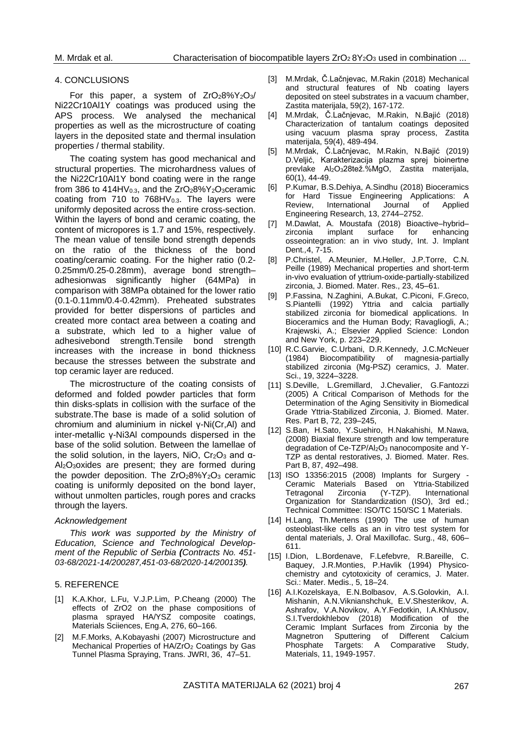#### 4. CONCLUSIONS

For this paper, a system of  $ZrO<sub>2</sub>8\%Y<sub>2</sub>O<sub>3</sub>$ Ni22Cr10Al1Y coatings was produced using the APS process. We analysed the mechanical properties as well as the microstructure of coating layers in the deposited state and thermal insulation properties / thermal stability.

The coating system has good mechanical and structural properties. The microhardness values of the Ni22Cr10Al1Y bond coating were in the range from 386 to 414HV $_{0.3}$ , and the  $ZrO<sub>2</sub>8\%Y<sub>2</sub>O<sub>3</sub>$ ceramic coating from 710 to  $768HV_{0.3}$ . The layers were uniformly deposited across the entire cross-section. Within the layers of bond and ceramic coating, the content of micropores is 1.7 and 15%, respectively. The mean value of tensile bond strength depends on the ratio of the thickness of the bond coating/ceramic coating. For the higher ratio (0.2- 0.25mm/0.25-0.28mm), average bond strength– adhesionwas significantly higher (64MPa) in comparison with 38MPa obtained for the lower ratio (0.1-0.11mm/0.4-0.42mm). Preheated substrates provided for better dispersions of particles and created more contact area between a coating and a substrate, which led to a higher value of adhesivebond strength.Tensile bond strength increases with the increase in bond thickness because the stresses between the substrate and top ceramic layer are reduced.

The microstructure of the coating consists of deformed and folded powder particles that form thin disks-splats in collision with the surface of the substrate.The base is made of a solid solution of chromium and aluminium in nickel γ-Ni(Cr,Al) and inter-metallic γ-Ni3Al compounds dispersed in the base of the solid solution. Between the lamellae of the solid solution, in the layers, NiO,  $Cr<sub>2</sub>O<sub>3</sub>$  and α-Al2O3oxides are present; they are formed during the powder deposition. The ZrO<sub>2</sub>8%Y<sub>2</sub>O<sub>3</sub> ceramic coating is uniformly deposited on the bond layer, without unmolten particles, rough pores and cracks through the layers.

#### *Acknowledgement*

*This work was supported by the Ministry of Education, Science and Technological Development of the Republic of Serbia (Contracts No. 451- 03-68/2021-14/200287,451-03-68/2020-14/200135).*

### 5. REFERENCE

- [1] K.A.Khor, L.Fu, V.J.P.Lim, P.Cheang (2000) The effects of ZrO2 on the phase compositions of plasma sprayed HA/YSZ composite coatings, Materials Sciiences, Eng.A, 276, 60-166.
- [2] M.F.Morks, A.Kobayashi (2007) Microstructure and Mechanical Properties of HA/ZrO<sub>2</sub> Coatings by Gas Tunnel Plasma Spraying, Trans. JWRI, 36, 47–51.
- [3] M.Mrdak, Č.Lačnjevac, M.Rakin (2018) Mechanical and structural features of Nb coating layers deposited on steel substrates in a vacuum chamber, Zastita materijala, 59(2), 167-172.
- [4] M.Mrdak, Č.Lačnjevac, M.Rakin, N.Bajić (2018) Characterization of tantalum coatings deposited using vacuum plasma spray process, Zastita materijala, 59(4), 489-494.
- [5] M.Mrdak, Č.Lačnjevac, M.Rakin, N.Bajić (2019) D.Veljić, Karakterizacija plazma sprej bioinertne prevlake Al2O328tež.%MgO, Zastita materijala, 60(1), 44-49.
- [6] P.Kumar, B.S.Dehiya, A.Sindhu (2018) Bioceramics for Hard Tissue Engineering Applications: A Review, International Journal of Applied Engineering Research, 13, 2744–2752.
- [7] [M.Dawlat, A.](https://www.ncbi.nlm.nih.gov/pubmed/?term=Mostafa%20D%5BAuthor%5D&cauthor=true&cauthor_uid=29900480) [Moustafa](https://www.ncbi.nlm.nih.gov/pubmed/?term=Aboushelib%20M%5BAuthor%5D&cauthor=true&cauthor_uid=29900480) (2018) Bioactive–hybrid– zirconia implant surface for enhancing osseointegration: an in vivo study, [Int. J. Implant](https://www.ncbi.nlm.nih.gov/pmc/articles/PMC5999599/)  [Dent](https://www.ncbi.nlm.nih.gov/pmc/articles/PMC5999599/)*.,*4, 7-15.
- [8] P.Christel, A.Meunier, M.Heller, J.P.Torre, C.N. Peille (1989) Mechanical properties and short-term in-vivo evaluation of yttrium-oxide-partially-stabilized zirconia, J. Biomed. Mater. Res., 23, 45–61.
- [9] P.Fassina, N.Zaghini, A.Bukat, C.Piconi, F.Greco, S.Piantelli (1992) Yttria and calcia partially stabilized zirconia for biomedical applications. In Bioceramics and the Human Body; Ravagliogli, A.; Krajewski, A.; Elsevier Applied Science: London and New York, p. 223–229.
- [10] R.C.Garvie, C.Urbani, D.R.Kennedy, J.C.McNeuer (1984) Biocompatibility of magnesia-partially stabilized zirconia (Mg-PSZ) ceramics, J. Mater. Sci., 19, 3224–3228.
- [11] S.Deville, L.Gremillard, J.Chevalier, G.Fantozzi (2005) A Critical Comparison of Methods for the Determination of the Aging Sensitivity in Biomedical Grade Yttria-Stabilized Zirconia, J. Biomed. Mater. Res. Part B, 72, 239–245,
- [12] S.Ban, H.Sato, Y.Suehiro, H.Nakahishi, M.Nawa, (2008) Biaxial flexure strength and low temperature degradation of Ce-TZP/Al<sub>2</sub>O<sub>3</sub> nanocomposite and Y-TZP as dental restoratives, J. Biomed. Mater. Res. Part B, 87, 492–498.
- [13] ISO 13356:2015 (2008) Implants for Surgery Ceramic Materials Based on Yttria-Stabilized<br>Tetragonal Zirconia (Y-TZP). International Tetragonal Zirconia (Y-TZP). International Organization for Standardization (ISO), 3rd ed.; Technical Committee: [ISO/TC 150/SC 1](https://www.iso.org/committee/53080.html) Materials.
- [14] H.Lang, Th.Mertens (1990) The use of human osteoblast-like cells as an in vitro test system for dental materials, J. Oral Maxillofac. Surg., 48, 606– 611.
- [15] I.Dion, L.Bordenave, F.Lefebvre, R.Bareille, C. Baquey, J.R.Monties, P.Havlik (1994) Physicochemistry and cytotoxicity of ceramics, J. Mater. Sci.: Mater. Medis., 5, 18–24.
- [16] A.I.Kozelskaya, E.N.Bolbasov, A.S.Golovkin, A.I. Mishanin, A.N.Viknianshchuk, E.V.Shesterikov, A. Ashrafov, V.A.Novikov, A.Y.Fedotkin, I.A.Khlusov, S.I.Tverdokhlebov (2018) Modification of the Ceramic Implant Surfaces from Zirconia by the Magnetron Sputtering of Different Calcium<br>Phosphate Targets: A Comparative Study, Phosphate Targets: A Comparative Study, Materials, 11, 1949-1957.